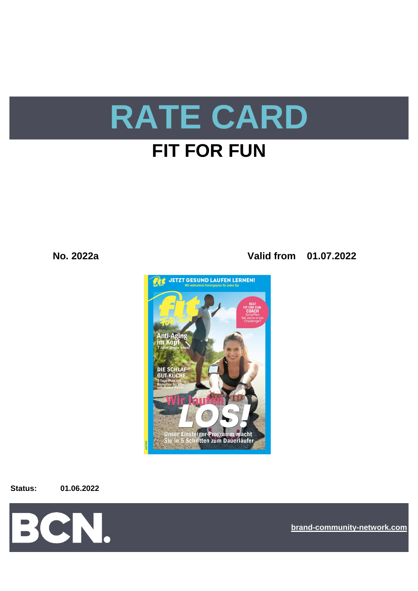

## **No. 2022a Valid from 01.07.2022**



**Status: 01.06.2022**



**[bra](https://bcn.burda.com/)nd-community-network.com**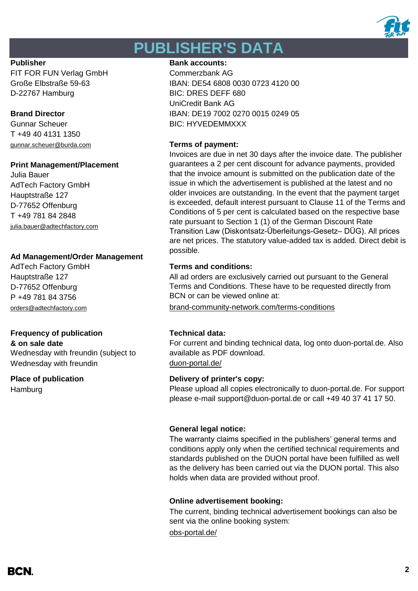

# **PUBLISHER'S DATA**

FIT FOR FUN Verlag GmbH Commerzbank AG D-22767 Hamburg BIC: DRES DEFF 680

Gunnar Scheuer BIC: HYVEDEMMXXX T +49 40 4131 1350 [gunnar.scheuer@burda.com](mailto:gunnar.scheuer@burda.com) **Terms of payment:**

### **Print Management/Placement**

Julia Bauer AdTech Factory GmbH Hauptstraße 127 D-77652 Offenburg T +49 781 84 2848 [julia.bauer@adtechfactory.com](mailto:julia.bauer@adtechfactory.com)

### **Ad Management/Order Management**

Hauptstraße 127 D-77652 Offenburg P +49 781 84 3756

## **Frequency of publication Technical data:**

 $&$  on sale date

Wednesday with freundin (subject to Wednesday with freundin [duon-portal.de/](https://duon-portal.de/)

**Hamburg** 

### **Publisher Bank accounts: Bank accounts:**

Große Elbstraße 59-63 IBAN: DE54 6808 0030 0723 4120 00 UniCredit Bank AG **Brand Director IBAN: DE19 7002 0270 0015 0249 05** 

Invoices are due in net 30 days after the invoice date. The publisher guarantees a 2 per cent discount for advance payments, provided that the invoice amount is submitted on the publication date of the issue in which the advertisement is published at the latest and no older invoices are outstanding. In the event that the payment target is exceeded, default interest pursuant to Clause 11 of the Terms and Conditions of 5 per cent is calculated based on the respective base rate pursuant to Section 1 (1) of the German Discount Rate Transition Law (Diskontsatz-Überleitungs-Gesetz– DÜG). All prices are net prices. The statutory value-added tax is added. Direct debit is possible.

### AdTech Factory GmbH **Terms and conditions:**

All ad orders are exclusively carried out pursuant to the General Terms and Conditions. These have to be requested directly from BCN or can be viewed online at:

[orders@adtechfactory.com](mailto:orders@adtechfactory.com) [brand-community-network.com/terms-conditions](https://bcn.burda.com/terms-conditions)

For current and binding technical data, log onto duon-portal.de. Also available as PDF download.

### **Place of publication Delivery of printer's copy:**

Please upload all copies electronically to duon-portal.de. For support please e-mail support@duon-portal.de or call +49 40 37 41 17 50.

### **General legal notice:**

The warranty claims specified in the publishers' general terms and conditions apply only when the certified technical requirements and standards published on the DUON portal have been fulfilled as well as the delivery has been carried out via the DUON portal. This also holds when data are provided without proof.

### **Online advertisement booking:**

The current, binding technical advertisement bookings can also be sent via the online booking system:

[obs-portal.de/](https://www.obs-portal.de/)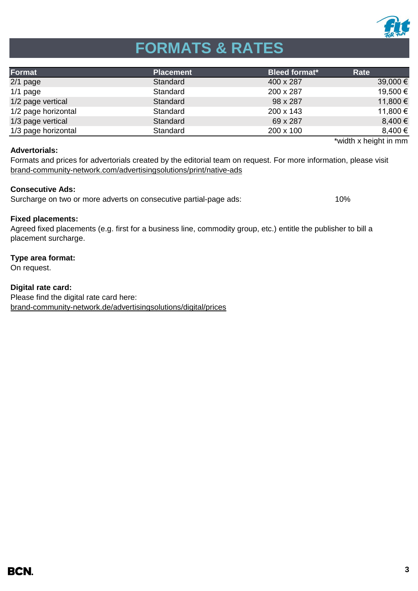

# **FORMATS & RATES**

| Format              | <b>Placement</b> | <b>Bleed format*</b> | Rate         |
|---------------------|------------------|----------------------|--------------|
| $2/1$ page          | Standard         | 400 x 287            | $39,000 \in$ |
| $1/1$ page          | Standard         | 200 x 287            | 19,500 €     |
| 1/2 page vertical   | Standard         | 98 x 287             | 11,800 €     |
| 1/2 page horizontal | Standard         | 200 x 143            | 11,800 €     |
| 1/3 page vertical   | Standard         | 69 x 287             | 8,400 €      |
| 1/3 page horizontal | Standard         | 200 x 100            | 8,400 €      |

### **Advertorials:**

\*width x height in mm

[brand-community-network.com/advertisin](https://bcn.burda.com/advertisingsolutions/print/native-ads)gsolutions/print/native-ads Formats and prices for advertorials created by the editorial team on request. For more information, please visit

### **Consecutive Ads:**

Surcharge on two or more adverts on consecutive partial-page ads: 10%

### **Fixed placements:**

Agreed fixed placements (e.g. first for a business line, commodity group, etc.) entitle the publisher to bill a placement surcharge.

### **Type area format:**

On request.

**Digital rate card:** Please find the digital rate card here: [brand-community-network.de/advertisingsolutions/digital/prices](https://bcn.burda.com/advertisingsolutions/digital/prices)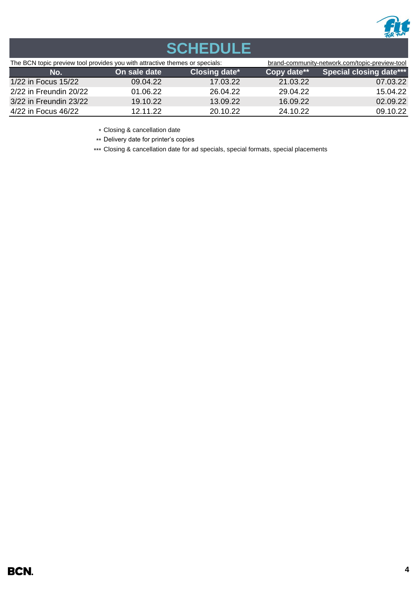

# **SCHEDULE**

| The BCN topic preview tool provides you with attractive themes or specials: |              |               |             | brand-community-network.com/topic-preview-tool |  |
|-----------------------------------------------------------------------------|--------------|---------------|-------------|------------------------------------------------|--|
| No.                                                                         | On sale date | Closing date* | Copy date** | <b>Special closing date***</b>                 |  |
| 1/22 in Focus 15/22                                                         | 09.04.22     | 17.03.22      | 21.03.22    | 07.03.22                                       |  |
| 2/22 in Freundin 20/22                                                      | 01.06.22     | 26.04.22      | 29.04.22    | 15.04.22                                       |  |
| 3/22 in Freundin 23/22                                                      | 19.10.22     | 13.09.22      | 16.09.22    | 02.09.22                                       |  |
| 4/22 in Focus 46/22                                                         | 12.11.22     | 20.10.22      | 24.10.22    | 09.10.22                                       |  |

\* Closing & cancellation date

\*\* Delivery date for printer's copies

\*\*\* Closing & cancellation date for ad specials, special formats, special placements